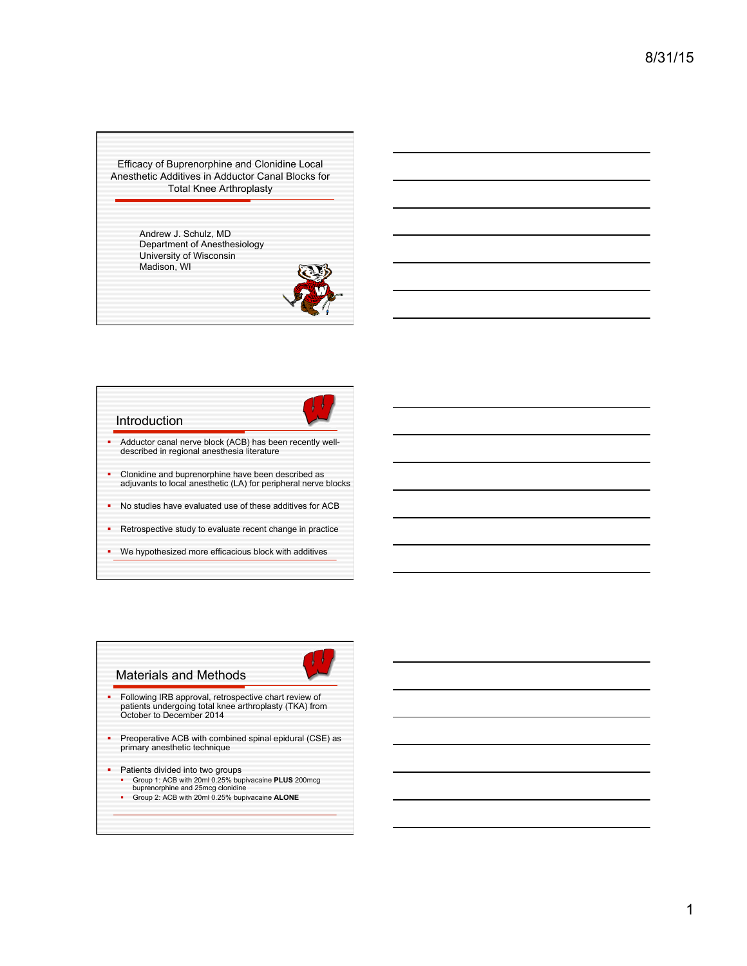Efficacy of Buprenorphine and Clonidine Local Anesthetic Additives in Adductor Canal Blocks for Total Knee Arthroplasty

> Andrew J. Schulz, MD Department of Anesthesiology University of Wisconsin Madison, WI





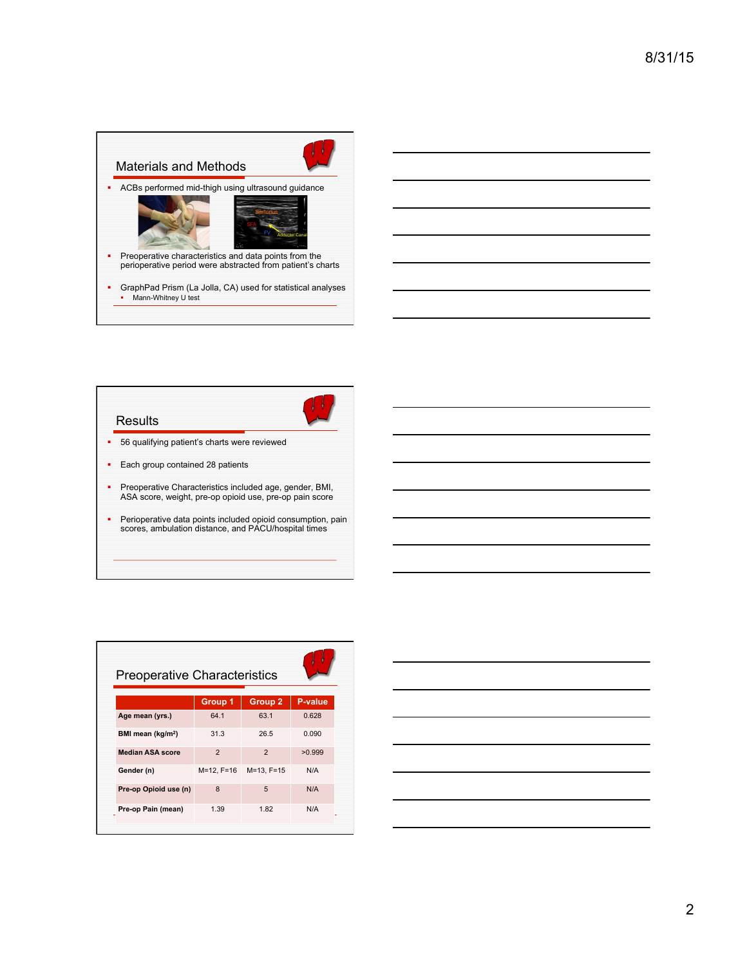

|  | ____ |
|--|------|
|  |      |
|  |      |
|  |      |
|  | --   |
|  |      |
|  |      |
|  |      |
|  |      |
|  |      |
|  |      |
|  |      |
|  |      |



| <b>Preoperative Characteristics</b> |                |                  |         |  |  |
|-------------------------------------|----------------|------------------|---------|--|--|
|                                     | Group 1        | <b>Group 2</b>   | P-value |  |  |
| Age mean (yrs.)                     | 64.1           | 63.1             | 0.628   |  |  |
| BMI mean (kg/m <sup>2</sup> )       | 31.3           | 26.5             | 0.090   |  |  |
| <b>Median ASA score</b>             | $\overline{2}$ | $\overline{2}$   | >0.999  |  |  |
| Gender (n)                          | M=12, F=16     | $M = 13. F = 15$ | N/A     |  |  |
| Pre-op Opioid use (n)               | 8              | 5                | N/A     |  |  |
| Pre-op Pain (mean)                  | 1.39           | 1.82             | N/A     |  |  |